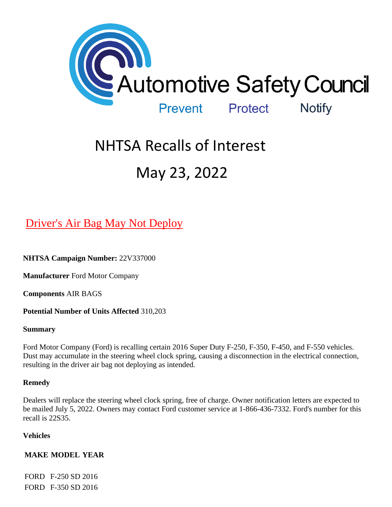

# NHTSA Recalls of Interest May 23, 2022

# [Driver's Air Bag May Not Deploy](https://www.nhtsa.gov/recalls?nhtsaId=22V337#recalls530)

**NHTSA Campaign Number:** 22V337000

**Manufacturer** Ford Motor Company

**Components** AIR BAGS

**Potential Number of Units Affected** 310,203

# **Summary**

Ford Motor Company (Ford) is recalling certain 2016 Super Duty F-250, F-350, F-450, and F-550 vehicles. Dust may accumulate in the steering wheel clock spring, causing a disconnection in the electrical connection, resulting in the driver air bag not deploying as intended.

# **Remedy**

Dealers will replace the steering wheel clock spring, free of charge. Owner notification letters are expected to be mailed July 5, 2022. Owners may contact Ford customer service at 1-866-436-7332. Ford's number for this recall is 22S35.

# **Vehicles**

# **MAKE MODEL YEAR**

FORD F-250 SD 2016 FORD F-350 SD 2016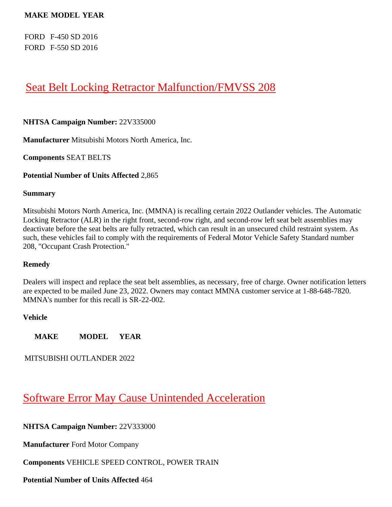### **MAKE MODEL YEAR**

FORD F-450 SD 2016 FORD F-550 SD 2016

# [Seat Belt Locking Retractor Malfunction/FMVSS 208](https://www.nhtsa.gov/recalls?nhtsaId=22V335#recalls530)

### **NHTSA Campaign Number:** 22V335000

**Manufacturer** Mitsubishi Motors North America, Inc.

**Components** SEAT BELTS

**Potential Number of Units Affected** 2,865

#### **Summary**

Mitsubishi Motors North America, Inc. (MMNA) is recalling certain 2022 Outlander vehicles. The Automatic Locking Retractor (ALR) in the right front, second-row right, and second-row left seat belt assemblies may deactivate before the seat belts are fully retracted, which can result in an unsecured child restraint system. As such, these vehicles fail to comply with the requirements of Federal Motor Vehicle Safety Standard number 208, "Occupant Crash Protection."

#### **Remedy**

Dealers will inspect and replace the seat belt assemblies, as necessary, free of charge. Owner notification letters are expected to be mailed June 23, 2022. Owners may contact MMNA customer service at 1-88-648-7820. MMNA's number for this recall is SR-22-002.

#### **Vehicle**

**MAKE MODEL YEAR**

MITSUBISHI OUTLANDER 2022

# [Software Error May Cause Unintended Acceleration](https://www.nhtsa.gov/recalls?nhtsaId=22V333#recalls530)

**NHTSA Campaign Number:** 22V333000

**Manufacturer** Ford Motor Company

**Components** VEHICLE SPEED CONTROL, POWER TRAIN

**Potential Number of Units Affected** 464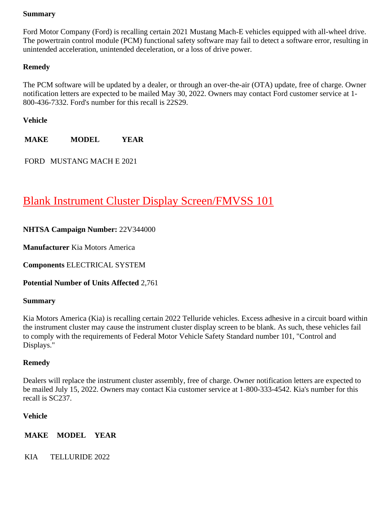### **Summary**

Ford Motor Company (Ford) is recalling certain 2021 Mustang Mach-E vehicles equipped with all-wheel drive. The powertrain control module (PCM) functional safety software may fail to detect a software error, resulting in unintended acceleration, unintended deceleration, or a loss of drive power.

# **Remedy**

The PCM software will be updated by a dealer, or through an over-the-air (OTA) update, free of charge. Owner notification letters are expected to be mailed May 30, 2022. Owners may contact Ford customer service at 1- 800-436-7332. Ford's number for this recall is 22S29.

**Vehicle**

**MAKE MODEL YEAR**

FORD MUSTANG MACH E 2021

# [Blank Instrument Cluster Display Screen/FMVSS 101](https://www.nhtsa.gov/recalls?nhtsaId=22V344#recalls530)

# **NHTSA Campaign Number:** 22V344000

**Manufacturer** Kia Motors America

**Components** ELECTRICAL SYSTEM

**Potential Number of Units Affected** 2,761

# **Summary**

Kia Motors America (Kia) is recalling certain 2022 Telluride vehicles. Excess adhesive in a circuit board within the instrument cluster may cause the instrument cluster display screen to be blank. As such, these vehicles fail to comply with the requirements of Federal Motor Vehicle Safety Standard number 101, "Control and Displays."

# **Remedy**

Dealers will replace the instrument cluster assembly, free of charge. Owner notification letters are expected to be mailed July 15, 2022. Owners may contact Kia customer service at 1-800-333-4542. Kia's number for this recall is SC237.

# **Vehicle**

**MAKE MODEL YEAR**

KIA TELLURIDE 2022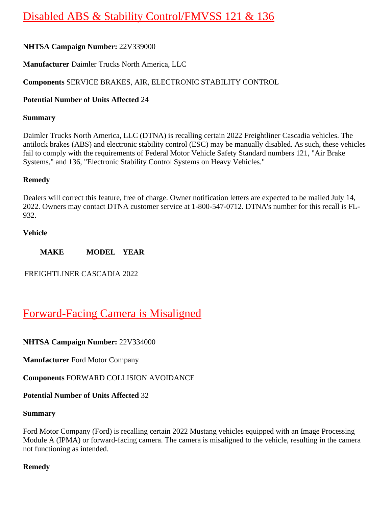# [Disabled ABS & Stability Control/FMVSS 121 & 136](https://www.nhtsa.gov/recalls?nhtsaId=22V339#recalls530)

# **NHTSA Campaign Number:** 22V339000

**Manufacturer** Daimler Trucks North America, LLC

# **Components** SERVICE BRAKES, AIR, ELECTRONIC STABILITY CONTROL

### **Potential Number of Units Affected** 24

### **Summary**

Daimler Trucks North America, LLC (DTNA) is recalling certain 2022 Freightliner Cascadia vehicles. The antilock brakes (ABS) and electronic stability control (ESC) may be manually disabled. As such, these vehicles fail to comply with the requirements of Federal Motor Vehicle Safety Standard numbers 121, "Air Brake Systems," and 136, "Electronic Stability Control Systems on Heavy Vehicles."

### **Remedy**

Dealers will correct this feature, free of charge. Owner notification letters are expected to be mailed July 14, 2022. Owners may contact DTNA customer service at 1-800-547-0712. DTNA's number for this recall is FL-932.

### **Vehicle**

**MAKE MODEL YEAR**

FREIGHTLINER CASCADIA 2022

# [Forward-Facing Camera is Misaligned](https://www.nhtsa.gov/recalls?nhtsaId=22V334#recalls530)

**NHTSA Campaign Number:** 22V334000

**Manufacturer** Ford Motor Company

**Components** FORWARD COLLISION AVOIDANCE

**Potential Number of Units Affected** 32

### **Summary**

Ford Motor Company (Ford) is recalling certain 2022 Mustang vehicles equipped with an Image Processing Module A (IPMA) or forward-facing camera. The camera is misaligned to the vehicle, resulting in the camera not functioning as intended.

# **Remedy**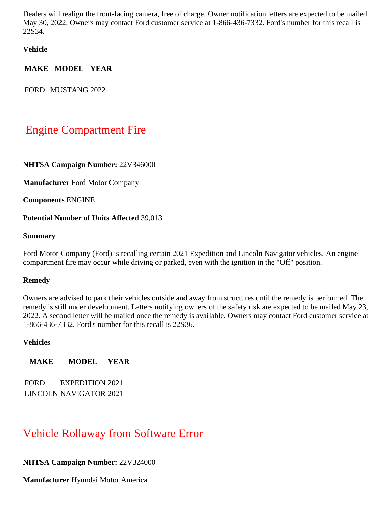Dealers will realign the front-facing camera, free of charge. Owner notification letters are expected to be mailed May 30, 2022. Owners may contact Ford customer service at 1-866-436-7332. Ford's number for this recall is 22S34.

**Vehicle**

**MAKE MODEL YEAR**

FORD MUSTANG 2022

# [Engine Compartment Fire](https://www.nhtsa.gov/recalls?nhtsaId=22V346#recalls530)

# **NHTSA Campaign Number:** 22V346000

**Manufacturer** Ford Motor Company

**Components** ENGINE

# **Potential Number of Units Affected** 39,013

### **Summary**

Ford Motor Company (Ford) is recalling certain 2021 Expedition and Lincoln Navigator vehicles. An engine compartment fire may occur while driving or parked, even with the ignition in the "Off" position.

# **Remedy**

Owners are advised to park their vehicles outside and away from structures until the remedy is performed. The remedy is still under development. Letters notifying owners of the safety risk are expected to be mailed May 23, 2022. A second letter will be mailed once the remedy is available. Owners may contact Ford customer service at 1-866-436-7332. Ford's number for this recall is 22S36.

### **Vehicles**

**MAKE MODEL YEAR**

FORD EXPEDITION 2021 LINCOLN NAVIGATOR 2021

# [Vehicle Rollaway from Software Error](https://www.nhtsa.gov/recalls?nhtsaId=22V324#recalls530)

# **NHTSA Campaign Number:** 22V324000

**Manufacturer** Hyundai Motor America